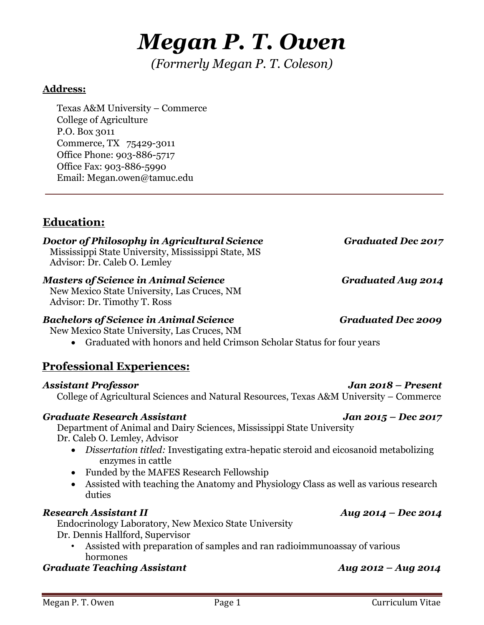# *Megan P. T. Owen*

*(Formerly Megan P. T. Coleson)* 

### **Address:**

Texas A&M University – Commerce College of Agriculture P.O. Box 3011 Commerce, TX 75429-3011 Office Phone: 903-886-5717 Office Fax: 903-886-5990 Email: Megan.owen@tamuc.edu

# **Education:**

#### *Doctor of Philosophy in Agricultural Science* Graduated *Dec 2017* Mississippi State University, Mississippi State, MS

Advisor: Dr. Caleb O. Lemley

# *Masters of Science in Animal Science* Graduated Aug 2014

New Mexico State University, Las Cruces, NM Advisor: Dr. Timothy T. Ross

### *Bachelors of Science in Animal Science* Graduated Dec 2009

New Mexico State University, Las Cruces, NM

• Graduated with honors and held Crimson Scholar Status for four years

# **Professional Experiences:**

### *Assistant Professor Jan 2018 – Present*

College of Agricultural Sciences and Natural Resources, Texas A&M University – Commerce

# *Graduate Research Assistant Jan 2015 – Dec 2017*

Department of Animal and Dairy Sciences, Mississippi State University Dr. Caleb O. Lemley, Advisor

- *Dissertation titled:* Investigating extra-hepatic steroid and eicosanoid metabolizing enzymes in cattle
- Funded by the MAFES Research Fellowship
- Assisted with teaching the Anatomy and Physiology Class as well as various research duties

# *Research Assistant II Aug 2014 – Dec 2014*

Endocrinology Laboratory, New Mexico State University Dr. Dennis Hallford, Supervisor

• Assisted with preparation of samples and ran radioimmunoassay of various hormones

# *Graduate Teaching Assistant Aug 2012 – Aug 2014*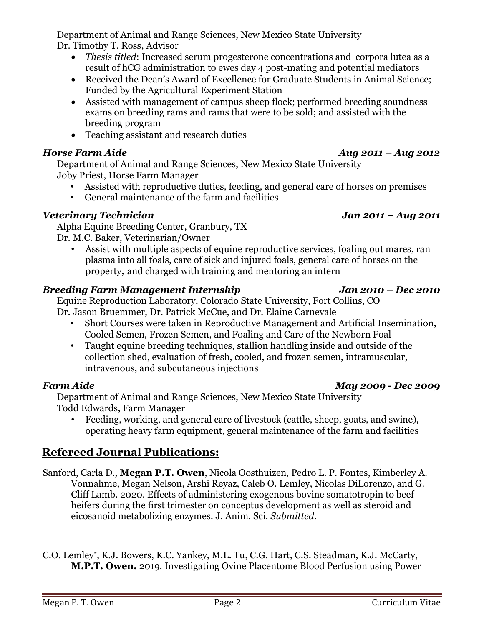Department of Animal and Range Sciences, New Mexico State University Dr. Timothy T. Ross, Advisor

- *Thesis titled*: Increased serum progesterone concentrations and corpora lutea as a result of hCG administration to ewes day 4 post-mating and potential mediators
- Received the Dean's Award of Excellence for Graduate Students in Animal Science: Funded by the Agricultural Experiment Station
- Assisted with management of campus sheep flock; performed breeding soundness exams on breeding rams and rams that were to be sold; and assisted with the breeding program
- Teaching assistant and research duties

#### *Horse Farm Aide* **Aug 2011 –** *Aug 2012 Aug 2011 – Aug 2012*

Department of Animal and Range Sciences, New Mexico State University Joby Priest, Horse Farm Manager

- Assisted with reproductive duties, feeding, and general care of horses on premises
- General maintenance of the farm and facilities

#### *Veterinary Technician Jan 2011 – Aug 2011*

Alpha Equine Breeding Center, Granbury, TX Dr. M.C. Baker, Veterinarian/Owner

Assist with multiple aspects of equine reproductive services, foaling out mares, ran plasma into all foals, care of sick and injured foals, general care of horses on the property**,** and charged with training and mentoring an intern

#### *Breeding Farm Management Internship Jan 2010 – Dec 2010*

Equine Reproduction Laboratory, Colorado State University, Fort Collins, CO Dr. Jason Bruemmer, Dr. Patrick McCue, and Dr. Elaine Carnevale

- Short Courses were taken in Reproductive Management and Artificial Insemination, Cooled Semen, Frozen Semen, and Foaling and Care of the Newborn Foal
- Taught equine breeding techniques, stallion handling inside and outside of the collection shed, evaluation of fresh, cooled, and frozen semen, intramuscular, intravenous, and subcutaneous injections

#### *Farm Aide May 2009 - Dec 2009*

Department of Animal and Range Sciences, New Mexico State University Todd Edwards, Farm Manager

• Feeding, working, and general care of livestock (cattle, sheep, goats, and swine), operating heavy farm equipment, general maintenance of the farm and facilities

# **Refereed Journal Publications:**

Sanford, Carla D., **Megan P.T. Owen**, Nicola Oosthuizen, Pedro L. P. Fontes, Kimberley A. Vonnahme, Megan Nelson, Arshi Reyaz, Caleb O. Lemley, Nicolas DiLorenzo, and G. Cliff Lamb. 2020. Effects of administering exogenous bovine somatotropin to beef heifers during the first trimester on conceptus development as well as steroid and eicosanoid metabolizing enzymes. J. Anim. Sci. *Submitted.*

C.O. Lemley\*, K.J. Bowers, K.C. Yankey, M.L. Tu, C.G. Hart, C.S. Steadman, K.J. McCarty, **M.P.T. Owen.** 2019. Investigating Ovine Placentome Blood Perfusion using Power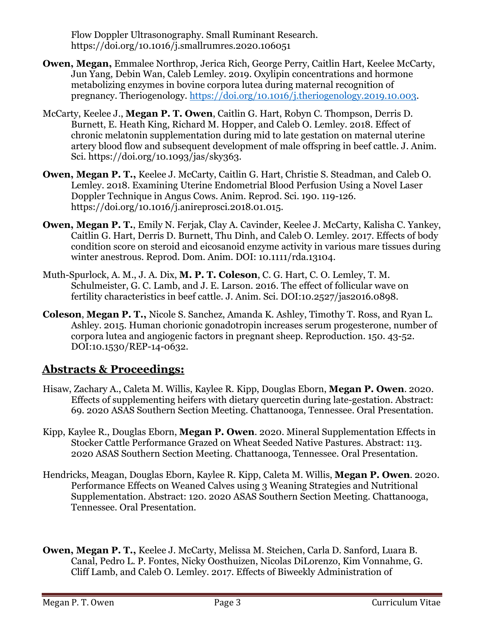Flow Doppler Ultrasonography. Small Ruminant Research. https://doi.org/10.1016/j.smallrumres.2020.106051

- **Owen, Megan,** Emmalee Northrop, Jerica Rich, George Perry, Caitlin Hart, Keelee McCarty, Jun Yang, Debin Wan, Caleb Lemley. 2019. Oxylipin concentrations and hormone metabolizing enzymes in bovine corpora lutea during maternal recognition of pregnancy. Theriogenology. [https://doi.org/10.1016/j.theriogenology.2019.10.003.](https://doi.org/10.1016/j.theriogenology.2019.10.003)
- McCarty, Keelee J., **Megan P. T. Owen**, Caitlin G. Hart, Robyn C. Thompson, Derris D. Burnett, E. Heath King, Richard M. Hopper, and Caleb O. Lemley. 2018. Effect of chronic melatonin supplementation during mid to late gestation on maternal uterine artery blood flow and subsequent development of male offspring in beef cattle. J. Anim. Sci. https://doi.org/10.1093/jas/sky363.
- **Owen, Megan P. T.,** Keelee J. McCarty, Caitlin G. Hart, Christie S. Steadman, and Caleb O. Lemley. 2018. Examining Uterine Endometrial Blood Perfusion Using a Novel Laser Doppler Technique in Angus Cows. Anim. Reprod. Sci. 190. 119-126. https://doi.org/10.1016/j.anireprosci.2018.01.015.
- **Owen, Megan P. T.**, Emily N. Ferjak, Clay A. Cavinder, Keelee J. McCarty, Kalisha C. Yankey, Caitlin G. Hart, Derris D. Burnett, Thu Dinh, and Caleb O. Lemley. 2017. Effects of body condition score on steroid and eicosanoid enzyme activity in various mare tissues during winter anestrous. Reprod. Dom. Anim. DOI: 10.1111/rda.13104.
- Muth-Spurlock, A. M., J. A. Dix, **M. P. T. Coleson**, C. G. Hart, C. O. Lemley, T. M. Schulmeister, G. C. Lamb, and J. E. Larson. 2016. The effect of follicular wave on fertility characteristics in beef cattle. J. Anim. Sci. DOI:10.2527/jas2016.0898.
- **Coleson**, **Megan P. T.,** Nicole S. Sanchez, Amanda K. Ashley, Timothy T. Ross, and Ryan L. Ashley. 2015. Human chorionic gonadotropin increases serum progesterone, number of corpora lutea and angiogenic factors in pregnant sheep. Reproduction. 150. 43-52. DOI:10.1530/REP-14-0632.

# **Abstracts & Proceedings:**

- Hisaw, Zachary A., Caleta M. Willis, Kaylee R. Kipp, Douglas Eborn, **Megan P. Owen**. 2020. Effects of supplementing heifers with dietary quercetin during late-gestation. Abstract: 69. 2020 ASAS Southern Section Meeting. Chattanooga, Tennessee. Oral Presentation.
- Kipp, Kaylee R., Douglas Eborn, **Megan P. Owen**. 2020. Mineral Supplementation Effects in Stocker Cattle Performance Grazed on Wheat Seeded Native Pastures. Abstract: 113. 2020 ASAS Southern Section Meeting. Chattanooga, Tennessee. Oral Presentation.
- Hendricks, Meagan, Douglas Eborn, Kaylee R. Kipp, Caleta M. Willis, **Megan P. Owen**. 2020. Performance Effects on Weaned Calves using 3 Weaning Strategies and Nutritional Supplementation. Abstract: 120. 2020 ASAS Southern Section Meeting. Chattanooga, Tennessee. Oral Presentation.
- **Owen, Megan P. T.,** Keelee J. McCarty, Melissa M. Steichen, Carla D. Sanford, Luara B. Canal, Pedro L. P. Fontes, Nicky Oosthuizen, Nicolas DiLorenzo, Kim Vonnahme, G. Cliff Lamb, and Caleb O. Lemley. 2017. Effects of Biweekly Administration of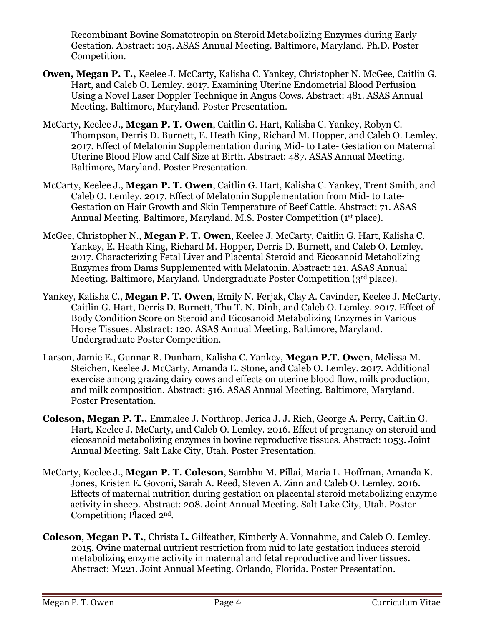Recombinant Bovine Somatotropin on Steroid Metabolizing Enzymes during Early Gestation. Abstract: 105. ASAS Annual Meeting. Baltimore, Maryland. Ph.D. Poster Competition.

- **Owen, Megan P. T.,** Keelee J. McCarty, Kalisha C. Yankey, Christopher N. McGee, Caitlin G. Hart, and Caleb O. Lemley. 2017. Examining Uterine Endometrial Blood Perfusion Using a Novel Laser Doppler Technique in Angus Cows. Abstract: 481. ASAS Annual Meeting. Baltimore, Maryland. Poster Presentation.
- McCarty, Keelee J., **Megan P. T. Owen**, Caitlin G. Hart, Kalisha C. Yankey, Robyn C. Thompson, Derris D. Burnett, E. Heath King, Richard M. Hopper, and Caleb O. Lemley. 2017. Effect of Melatonin Supplementation during Mid- to Late- Gestation on Maternal Uterine Blood Flow and Calf Size at Birth. Abstract: 487. ASAS Annual Meeting. Baltimore, Maryland. Poster Presentation.
- McCarty, Keelee J., **Megan P. T. Owen**, Caitlin G. Hart, Kalisha C. Yankey, Trent Smith, and Caleb O. Lemley. 2017. Effect of Melatonin Supplementation from Mid- to Late-Gestation on Hair Growth and Skin Temperature of Beef Cattle. Abstract: 71. ASAS Annual Meeting. Baltimore, Maryland. M.S. Poster Competition (1st place).
- McGee, Christopher N., **Megan P. T. Owen**, Keelee J. McCarty, Caitlin G. Hart, Kalisha C. Yankey, E. Heath King, Richard M. Hopper, Derris D. Burnett, and Caleb O. Lemley. 2017. Characterizing Fetal Liver and Placental Steroid and Eicosanoid Metabolizing Enzymes from Dams Supplemented with Melatonin. Abstract: 121. ASAS Annual Meeting. Baltimore, Maryland. Undergraduate Poster Competition (3rd place).
- Yankey, Kalisha C., **Megan P. T. Owen**, Emily N. Ferjak, Clay A. Cavinder, Keelee J. McCarty, Caitlin G. Hart, Derris D. Burnett, Thu T. N. Dinh, and Caleb O. Lemley. 2017. Effect of Body Condition Score on Steroid and Eicosanoid Metabolizing Enzymes in Various Horse Tissues. Abstract: 120. ASAS Annual Meeting. Baltimore, Maryland. Undergraduate Poster Competition.
- Larson, Jamie E., Gunnar R. Dunham, Kalisha C. Yankey, **Megan P.T. Owen**, Melissa M. Steichen, Keelee J. McCarty, Amanda E. Stone, and Caleb O. Lemley. 2017. Additional exercise among grazing dairy cows and effects on uterine blood flow, milk production, and milk composition. Abstract: 516. ASAS Annual Meeting. Baltimore, Maryland. Poster Presentation.
- **Coleson, Megan P. T.,** Emmalee J. Northrop, Jerica J. J. Rich, George A. Perry, Caitlin G. Hart, Keelee J. McCarty, and Caleb O. Lemley. 2016. Effect of pregnancy on steroid and eicosanoid metabolizing enzymes in bovine reproductive tissues. Abstract: 1053. Joint Annual Meeting. Salt Lake City, Utah. Poster Presentation.
- McCarty, Keelee J., **Megan P. T. Coleson**, Sambhu M. Pillai, Maria L. Hoffman, Amanda K. Jones, Kristen E. Govoni, Sarah A. Reed, Steven A. Zinn and Caleb O. Lemley. 2016. Effects of maternal nutrition during gestation on placental steroid metabolizing enzyme activity in sheep. Abstract: 208. Joint Annual Meeting. Salt Lake City, Utah. Poster Competition; Placed 2nd.
- **Coleson**, **Megan P. T.**, Christa L. Gilfeather, Kimberly A. Vonnahme, and Caleb O. Lemley. 2015. Ovine maternal nutrient restriction from mid to late gestation induces steroid metabolizing enzyme activity in maternal and fetal reproductive and liver tissues. Abstract: M221. Joint Annual Meeting. Orlando, Florida. Poster Presentation.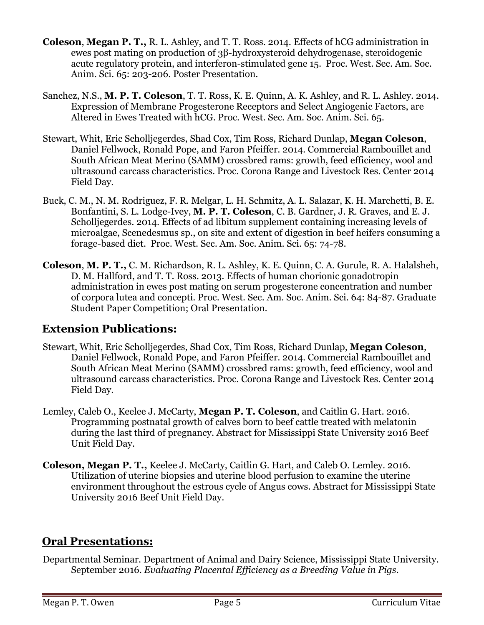- **Coleson**, **Megan P. T.,** R. L. Ashley, and T. T. Ross. 2014. Effects of hCG administration in ewes post mating on production of 3β-hydroxysteroid dehydrogenase, steroidogenic acute regulatory protein, and interferon-stimulated gene 15. Proc. West. Sec. Am. Soc. Anim. Sci. 65: 203-206. Poster Presentation.
- Sanchez, N.S., **M. P. T. Coleson**, T. T. Ross, K. E. Quinn, A. K. Ashley, and R. L. Ashley. 2014. Expression of Membrane Progesterone Receptors and Select Angiogenic Factors, are Altered in Ewes Treated with hCG. Proc. West. Sec. Am. Soc. Anim. Sci. 65.
- Stewart, Whit, Eric Scholljegerdes, Shad Cox, Tim Ross, Richard Dunlap, **Megan Coleson**, Daniel Fellwock, Ronald Pope, and Faron Pfeiffer. 2014. Commercial Rambouillet and South African Meat Merino (SAMM) crossbred rams: growth, feed efficiency, wool and ultrasound carcass characteristics. Proc. Corona Range and Livestock Res. Center 2014 Field Day.
- Buck, C. M., N. M. Rodriguez, F. R. Melgar, L. H. Schmitz, A. L. Salazar, K. H. Marchetti, B. E. Bonfantini, S. L. Lodge-Ivey, **M. P. T. Coleson**, C. B. Gardner, J. R. Graves, and E. J. Scholljegerdes. 2014. Effects of ad libitum supplement containing increasing levels of microalgae, Scenedesmus sp., on site and extent of digestion in beef heifers consuming a forage-based diet. Proc. West. Sec. Am. Soc. Anim. Sci. 65: 74-78.
- **Coleson**, **M. P. T.,** C. M. Richardson, R. L. Ashley, K. E. Quinn, C. A. Gurule, R. A. Halalsheh, D. M. Hallford, and T. T. Ross. 2013. Effects of human chorionic gonadotropin administration in ewes post mating on serum progesterone concentration and number of corpora lutea and concepti. Proc. West. Sec. Am. Soc. Anim. Sci. 64: 84-87. Graduate Student Paper Competition; Oral Presentation.

# **Extension Publications:**

- Stewart, Whit, Eric Scholljegerdes, Shad Cox, Tim Ross, Richard Dunlap, **Megan Coleson**, Daniel Fellwock, Ronald Pope, and Faron Pfeiffer. 2014. Commercial Rambouillet and South African Meat Merino (SAMM) crossbred rams: growth, feed efficiency, wool and ultrasound carcass characteristics. Proc. Corona Range and Livestock Res. Center 2014 Field Day.
- Lemley, Caleb O., Keelee J. McCarty, **Megan P. T. Coleson**, and Caitlin G. Hart. 2016. Programming postnatal growth of calves born to beef cattle treated with melatonin during the last third of pregnancy. Abstract for Mississippi State University 2016 Beef Unit Field Day.
- **Coleson, Megan P. T.,** Keelee J. McCarty, Caitlin G. Hart, and Caleb O. Lemley. 2016. Utilization of uterine biopsies and uterine blood perfusion to examine the uterine environment throughout the estrous cycle of Angus cows. Abstract for Mississippi State University 2016 Beef Unit Field Day.

# **Oral Presentations:**

Departmental Seminar. Department of Animal and Dairy Science, Mississippi State University. September 2016. *Evaluating Placental Efficiency as a Breeding Value in Pigs.*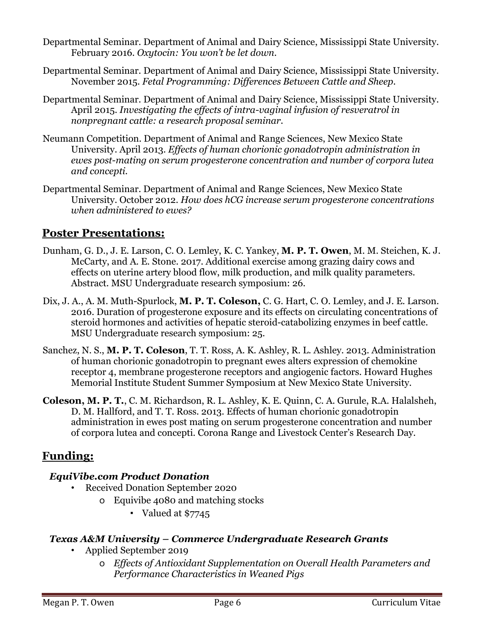- Departmental Seminar. Department of Animal and Dairy Science, Mississippi State University. February 2016. *Oxytocin: You won't be let down.*
- Departmental Seminar. Department of Animal and Dairy Science, Mississippi State University. November 2015. *Fetal Programming: Differences Between Cattle and Sheep.*
- Departmental Seminar. Department of Animal and Dairy Science, Mississippi State University. April 2015. *Investigating the effects of intra-vaginal infusion of resveratrol in nonpregnant cattle: a research proposal seminar.*
- Neumann Competition. Department of Animal and Range Sciences, New Mexico State University. April 2013. *Effects of human chorionic gonadotropin administration in ewes post-mating on serum progesterone concentration and number of corpora lutea and concepti.*
- Departmental Seminar. Department of Animal and Range Sciences, New Mexico State University. October 2012. *How does hCG increase serum progesterone concentrations when administered to ewes?*

# **Poster Presentations:**

- Dunham, G. D., J. E. Larson, C. O. Lemley, K. C. Yankey, **M. P. T. Owen**, M. M. Steichen, K. J. McCarty, and A. E. Stone. 2017. Additional exercise among grazing dairy cows and effects on uterine artery blood flow, milk production, and milk quality parameters. Abstract. MSU Undergraduate research symposium: 26.
- Dix, J. A., A. M. Muth-Spurlock, **M. P. T. Coleson,** C. G. Hart, C. O. Lemley, and J. E. Larson. 2016. Duration of progesterone exposure and its effects on circulating concentrations of steroid hormones and activities of hepatic steroid-catabolizing enzymes in beef cattle. MSU Undergraduate research symposium: 25.
- Sanchez, N. S., **M. P. T. Coleson**, T. T. Ross, A. K. Ashley, R. L. Ashley. 2013. Administration of human chorionic gonadotropin to pregnant ewes alters expression of chemokine receptor 4, membrane progesterone receptors and angiogenic factors. Howard Hughes Memorial Institute Student Summer Symposium at New Mexico State University.
- **Coleson, M. P. T.**, C. M. Richardson, R. L. Ashley, K. E. Quinn, C. A. Gurule, R.A. Halalsheh, D. M. Hallford, and T. T. Ross. 2013. Effects of human chorionic gonadotropin administration in ewes post mating on serum progesterone concentration and number of corpora lutea and concepti. Corona Range and Livestock Center's Research Day.

# **Funding:**

### *EquiVibe.com Product Donation*

- Received Donation September 2020
	- o Equivibe 4080 and matching stocks
		- Valued at \$7745

#### *Texas A&M University – Commerce Undergraduate Research Grants*

- Applied September 2019
	- o *Effects of Antioxidant Supplementation on Overall Health Parameters and Performance Characteristics in Weaned Pigs*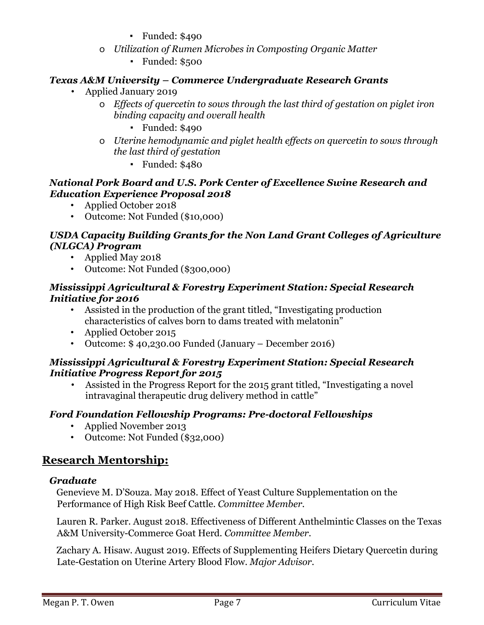- Funded: \$490
- o *Utilization of Rumen Microbes in Composting Organic Matter* 
	- Funded: \$500

### *Texas A&M University – Commerce Undergraduate Research Grants*

- Applied January 2019
	- o *Effects of quercetin to sows through the last third of gestation on piglet iron binding capacity and overall health*
		- Funded: \$490
	- o *Uterine hemodynamic and piglet health effects on quercetin to sows through the last third of gestation*
		- Funded: \$480

#### *National Pork Board and U.S. Pork Center of Excellence Swine Research and Education Experience Proposal 2018*

- Applied October 2018
- Outcome: Not Funded (\$10,000)

#### *USDA Capacity Building Grants for the Non Land Grant Colleges of Agriculture (NLGCA) Program*

- Applied May 2018
- Outcome: Not Funded (\$300,000)

#### *Mississippi Agricultural & Forestry Experiment Station: Special Research Initiative for 2016*

- Assisted in the production of the grant titled, "Investigating production characteristics of calves born to dams treated with melatonin"
- Applied October 2015
- Outcome: \$ 40,230.00 Funded (January December 2016)

#### *Mississippi Agricultural & Forestry Experiment Station: Special Research Initiative Progress Report for 2015*

• Assisted in the Progress Report for the 2015 grant titled, "Investigating a novel intravaginal therapeutic drug delivery method in cattle"

#### *Ford Foundation Fellowship Programs: Pre-doctoral Fellowships*

- Applied November 2013
- Outcome: Not Funded (\$32,000)

# **Research Mentorship:**

#### *Graduate*

Genevieve M. D'Souza. May 2018. Effect of Yeast Culture Supplementation on the Performance of High Risk Beef Cattle. *Committee Member*.

Lauren R. Parker. August 2018. Effectiveness of Different Anthelmintic Classes on the Texas A&M University-Commerce Goat Herd. *Committee Member*.

Zachary A. Hisaw. August 2019. Effects of Supplementing Heifers Dietary Quercetin during Late-Gestation on Uterine Artery Blood Flow. *Major Advisor*.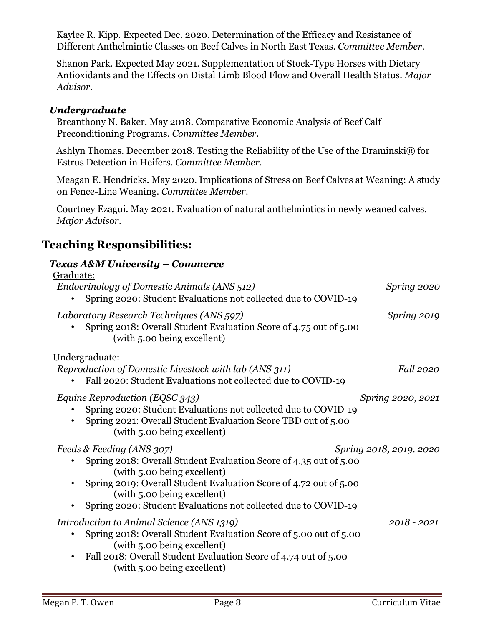Kaylee R. Kipp. Expected Dec. 2020. Determination of the Efficacy and Resistance of Different Anthelmintic Classes on Beef Calves in North East Texas. *Committee Member*.

Shanon Park. Expected May 2021. Supplementation of Stock-Type Horses with Dietary Antioxidants and the Effects on Distal Limb Blood Flow and Overall Health Status. *Major Advisor*.

#### *Undergraduate*

Breanthony N. Baker. May 2018. Comparative Economic Analysis of Beef Calf Preconditioning Programs. *Committee Member*.

Ashlyn Thomas. December 2018. Testing the Reliability of the Use of the Draminski® for Estrus Detection in Heifers. *Committee Member*.

Meagan E. Hendricks. May 2020. Implications of Stress on Beef Calves at Weaning: A study on Fence-Line Weaning. *Committee Member*.

Courtney Ezagui. May 2021. Evaluation of natural anthelmintics in newly weaned calves. *Major Advisor*.

# **Teaching Responsibilities:**

#### *Texas A&M University – Commerce*

| Graduate:<br>Endocrinology of Domestic Animals (ANS 512)<br>Spring 2020: Student Evaluations not collected due to COVID-19                                                                                                                                                                          | Spring 2020             |
|-----------------------------------------------------------------------------------------------------------------------------------------------------------------------------------------------------------------------------------------------------------------------------------------------------|-------------------------|
| Laboratory Research Techniques (ANS 597)<br>Spring 2018: Overall Student Evaluation Score of 4.75 out of 5.00<br>(with 5.00 being excellent)                                                                                                                                                        | Spring 2019             |
| Undergraduate:<br>Reproduction of Domestic Livestock with lab (ANS 311)<br>Fall 2020: Student Evaluations not collected due to COVID-19                                                                                                                                                             | <i>Fall</i> 2020        |
| <i>Equine Reproduction (EQSC 343)</i><br>Spring 2020: Student Evaluations not collected due to COVID-19<br>Spring 2021: Overall Student Evaluation Score TBD out of 5.00<br>(with 5.00 being excellent)                                                                                             | Spring 2020, 2021       |
| Feeds & Feeding (ANS 307)<br>Spring 2018: Overall Student Evaluation Score of 4.35 out of 5.00<br>(with 5.00 being excellent)<br>Spring 2019: Overall Student Evaluation Score of 4.72 out of 5.00<br>(with 5.00 being excellent)<br>Spring 2020: Student Evaluations not collected due to COVID-19 | Spring 2018, 2019, 2020 |
| Introduction to Animal Science (ANS 1319)<br>Spring 2018: Overall Student Evaluation Score of 5.00 out of 5.00<br>(with 5.00 being excellent)<br>Fall 2018: Overall Student Evaluation Score of 4.74 out of 5.00<br>(with 5.00 being excellent)                                                     | $2018 - 2021$           |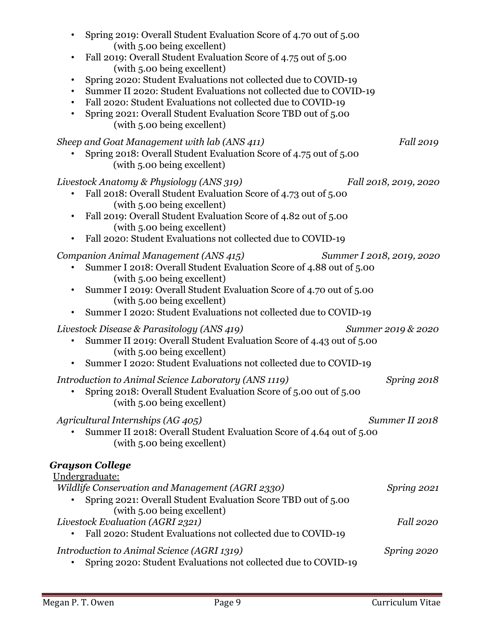| Spring 2019: Overall Student Evaluation Score of 4.70 out of 5.00<br>$\bullet$<br>(with 5.00 being excellent)<br>Fall 2019: Overall Student Evaluation Score of 4.75 out of 5.00<br>$\bullet$<br>(with 5.00 being excellent)<br>Spring 2020: Student Evaluations not collected due to COVID-19<br>$\bullet$<br>Summer II 2020: Student Evaluations not collected due to COVID-19<br>$\bullet$<br>Fall 2020: Student Evaluations not collected due to COVID-19<br>$\bullet$<br>Spring 2021: Overall Student Evaluation Score TBD out of 5.00<br>$\bullet$<br>(with 5.00 being excellent) |
|-----------------------------------------------------------------------------------------------------------------------------------------------------------------------------------------------------------------------------------------------------------------------------------------------------------------------------------------------------------------------------------------------------------------------------------------------------------------------------------------------------------------------------------------------------------------------------------------|
| Sheep and Goat Management with lab (ANS 411)<br><i>Fall</i> 2019<br>Spring 2018: Overall Student Evaluation Score of 4.75 out of 5.00<br>(with 5.00 being excellent)                                                                                                                                                                                                                                                                                                                                                                                                                    |
| Livestock Anatomy & Physiology (ANS 319)<br>Fall 2018, 2019, 2020<br>Fall 2018: Overall Student Evaluation Score of 4.73 out of 5.00<br>$\bullet$<br>(with 5.00 being excellent)<br>Fall 2019: Overall Student Evaluation Score of 4.82 out of 5.00<br>$\bullet$<br>(with 5.00 being excellent)<br>Fall 2020: Student Evaluations not collected due to COVID-19<br>$\bullet$                                                                                                                                                                                                            |
| Companion Animal Management (ANS 415)<br>Summer I 2018, 2019, 2020<br>Summer I 2018: Overall Student Evaluation Score of 4.88 out of 5.00<br>(with 5.00 being excellent)<br>Summer I 2019: Overall Student Evaluation Score of 4.70 out of 5.00<br>$\bullet$<br>(with 5.00 being excellent)<br>Summer I 2020: Student Evaluations not collected due to COVID-19<br>٠                                                                                                                                                                                                                    |
| Livestock Disease & Parasitology (ANS 419)<br>Summer 2019 & 2020<br>Summer II 2019: Overall Student Evaluation Score of 4.43 out of 5.00<br>(with 5.00 being excellent)<br>Summer I 2020: Student Evaluations not collected due to COVID-19                                                                                                                                                                                                                                                                                                                                             |
| Introduction to Animal Science Laboratory (ANS 1119)<br>Spring 2018<br>Spring 2018: Overall Student Evaluation Score of 5.00 out of 5.00<br>(with 5.00 being excellent)                                                                                                                                                                                                                                                                                                                                                                                                                 |
| Agricultural Internships (AG 405)<br>Summer II 2018<br>Summer II 2018: Overall Student Evaluation Score of 4.64 out of 5.00<br>(with 5.00 being excellent)                                                                                                                                                                                                                                                                                                                                                                                                                              |
| Grayson College                                                                                                                                                                                                                                                                                                                                                                                                                                                                                                                                                                         |
| Undergraduate:<br>Wildlife Conservation and Management (AGRI 2330)<br>Spring 2021<br>Spring 2021: Overall Student Evaluation Score TBD out of 5.00<br>(with 5.00 being excellent)                                                                                                                                                                                                                                                                                                                                                                                                       |
| Livestock Evaluation (AGRI 2321)<br>Fall 2020<br>Fall 2020: Student Evaluations not collected due to COVID-19                                                                                                                                                                                                                                                                                                                                                                                                                                                                           |
| Introduction to Animal Science (AGRI 1319)<br>Spring 2020<br>Spring 2020: Student Evaluations not collected due to COVID-19                                                                                                                                                                                                                                                                                                                                                                                                                                                             |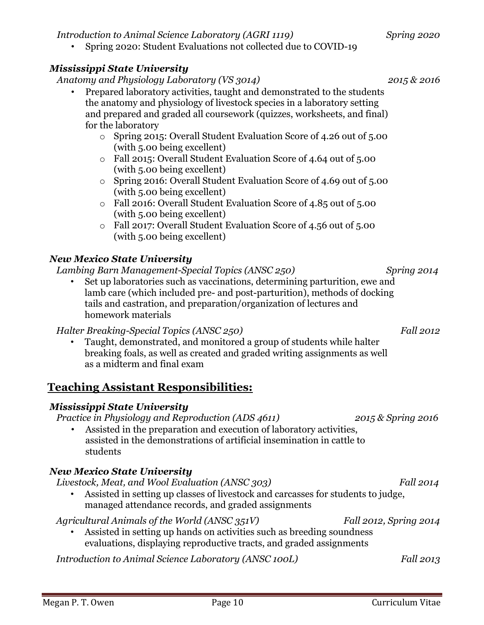*Introduction to Animal Science Laboratory (AGRI 1119) Spring 2020*

• Spring 2020: Student Evaluations not collected due to COVID-19

#### *Mississippi State University*

*Anatomy and Physiology Laboratory (VS 3014) 2015 & 2016* 

- Prepared laboratory activities, taught and demonstrated to the students the anatomy and physiology of livestock species in a laboratory setting and prepared and graded all coursework (quizzes, worksheets, and final) for the laboratory
	- o Spring 2015: Overall Student Evaluation Score of 4.26 out of 5.00 (with 5.00 being excellent)
	- o Fall 2015: Overall Student Evaluation Score of 4.64 out of 5.00 (with 5.00 being excellent)
	- o Spring 2016: Overall Student Evaluation Score of 4.69 out of 5.00 (with 5.00 being excellent)
	- o Fall 2016: Overall Student Evaluation Score of 4.85 out of 5.00 (with 5.00 being excellent)
	- o Fall 2017: Overall Student Evaluation Score of 4.56 out of 5.00 (with 5.00 being excellent)

### *New Mexico State University*

*Lambing Barn Management-Special Topics (ANSC 250) Spring 2014* 

Set up laboratories such as vaccinations, determining parturition, ewe and lamb care (which included pre- and post-parturition), methods of docking tails and castration, and preparation/organization of lectures and homework materials

#### *Halter Breaking-Special Topics (ANSC 250)* Fall 2012

• Taught, demonstrated, and monitored a group of students while halter breaking foals, as well as created and graded writing assignments as well as a midterm and final exam

# **Teaching Assistant Responsibilities:**

#### *Mississippi State University*

*Practice in Physiology and Reproduction (ADS 4611) 2015 & Spring 2016* 

Assisted in the preparation and execution of laboratory activities, assisted in the demonstrations of artificial insemination in cattle to students

### *New Mexico State University*

*Livestock, Meat, and Wool Evaluation (ANSC 303)* Fall 2014

• Assisted in setting up classes of livestock and carcasses for students to judge, managed attendance records, and graded assignments

*Agricultural Animals of the World (ANSC 351V) Fall 2012, Spring 2014* 

Assisted in setting up hands on activities such as breeding soundness evaluations, displaying reproductive tracts, and graded assignments

*Introduction to Animal Science Laboratory (ANSC 100L)* Fall 2013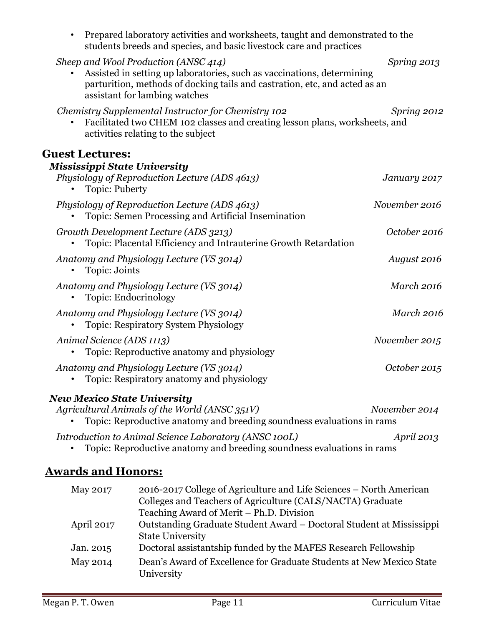| Prepared laboratory activities and worksheets, taught and demonstrated to the<br>$\bullet$<br>students breeds and species, and basic livestock care and practices                                                             |                   |
|-------------------------------------------------------------------------------------------------------------------------------------------------------------------------------------------------------------------------------|-------------------|
| Sheep and Wool Production (ANSC 414)<br>Assisted in setting up laboratories, such as vaccinations, determining<br>parturition, methods of docking tails and castration, etc, and acted as an<br>assistant for lambing watches | Spring 2013       |
| Chemistry Supplemental Instructor for Chemistry 102<br>Facilitated two CHEM 102 classes and creating lesson plans, worksheets, and<br>activities relating to the subject                                                      | Spring 2012       |
| <b>Guest Lectures:</b>                                                                                                                                                                                                        |                   |
| <b>Mississippi State University</b><br>Physiology of Reproduction Lecture (ADS 4613)<br><b>Topic: Puberty</b>                                                                                                                 | January 2017      |
| Physiology of Reproduction Lecture (ADS 4613)<br>Topic: Semen Processing and Artificial Insemination                                                                                                                          | November 2016     |
| Growth Development Lecture (ADS 3213)<br>Topic: Placental Efficiency and Intrauterine Growth Retardation                                                                                                                      | October 2016      |
| Anatomy and Physiology Lecture (VS 3014)<br>Topic: Joints                                                                                                                                                                     | August 2016       |
| Anatomy and Physiology Lecture (VS 3014)<br>Topic: Endocrinology                                                                                                                                                              | <b>March 2016</b> |
| Anatomy and Physiology Lecture (VS 3014)<br><b>Topic: Respiratory System Physiology</b>                                                                                                                                       | <b>March 2016</b> |
| Animal Science (ADS 1113)<br>Topic: Reproductive anatomy and physiology                                                                                                                                                       | November 2015     |
| Anatomy and Physiology Lecture (VS 3014)<br>Topic: Respiratory anatomy and physiology                                                                                                                                         | October 2015      |
| <b>New Mexico State University</b><br>Agricultural Animals of the World (ANSC 351V)<br>Topic: Reproductive anatomy and breeding soundness evaluations in rams                                                                 | November 2014     |

*Introduction to Animal Science Laboratory (ANSC 100L) April 2013* 

• Topic: Reproductive anatomy and breeding soundness evaluations in rams

# **Awards and Honors:**

| 2016-2017 College of Agriculture and Life Sciences – North American<br>Colleges and Teachers of Agriculture (CALS/NACTA) Graduate |
|-----------------------------------------------------------------------------------------------------------------------------------|
|                                                                                                                                   |
| Outstanding Graduate Student Award – Doctoral Student at Mississippi                                                              |
|                                                                                                                                   |
| Doctoral assistantship funded by the MAFES Research Fellowship                                                                    |
| Dean's Award of Excellence for Graduate Students at New Mexico State                                                              |
|                                                                                                                                   |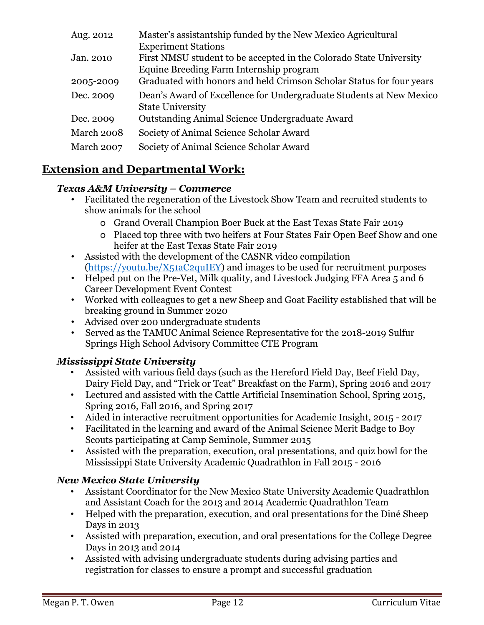| Aug. 2012  | Master's assistantship funded by the New Mexico Agricultural         |
|------------|----------------------------------------------------------------------|
|            | <b>Experiment Stations</b>                                           |
| Jan. 2010  | First NMSU student to be accepted in the Colorado State University   |
|            | Equine Breeding Farm Internship program                              |
| 2005-2009  | Graduated with honors and held Crimson Scholar Status for four years |
| Dec. 2009  | Dean's Award of Excellence for Undergraduate Students at New Mexico  |
|            | <b>State University</b>                                              |
| Dec. 2009  | Outstanding Animal Science Undergraduate Award                       |
| March 2008 | Society of Animal Science Scholar Award                              |
| March 2007 | Society of Animal Science Scholar Award                              |
|            |                                                                      |

# **Extension and Departmental Work:**

#### *Texas A&M University – Commerce*

- Facilitated the regeneration of the Livestock Show Team and recruited students to show animals for the school
	- o Grand Overall Champion Boer Buck at the East Texas State Fair 2019
	- o Placed top three with two heifers at Four States Fair Open Beef Show and one heifer at the East Texas State Fair 2019
- Assisted with the development of the CASNR video compilation [\(https://youtu.be/X51aC2quIEY\)](https://youtu.be/X51aC2quIEY) and images to be used for recruitment purposes
- Helped put on the Pre-Vet, Milk quality, and Livestock Judging FFA Area 5 and 6 Career Development Event Contest
- Worked with colleagues to get a new Sheep and Goat Facility established that will be breaking ground in Summer 2020
- Advised over 200 undergraduate students
- Served as the TAMUC Animal Science Representative for the 2018-2019 Sulfur Springs High School Advisory Committee CTE Program

#### *Mississippi State University*

- Assisted with various field days (such as the Hereford Field Day, Beef Field Day, Dairy Field Day, and "Trick or Teat" Breakfast on the Farm), Spring 2016 and 2017
- Lectured and assisted with the Cattle Artificial Insemination School, Spring 2015, Spring 2016, Fall 2016, and Spring 2017
- Aided in interactive recruitment opportunities for Academic Insight, 2015 2017
- Facilitated in the learning and award of the Animal Science Merit Badge to Boy Scouts participating at Camp Seminole, Summer 2015
- Assisted with the preparation, execution, oral presentations, and quiz bowl for the Mississippi State University Academic Quadrathlon in Fall 2015 - 2016

#### *New Mexico State University*

- Assistant Coordinator for the New Mexico State University Academic Quadrathlon and Assistant Coach for the 2013 and 2014 Academic Quadrathlon Team
- Helped with the preparation, execution, and oral presentations for the Diné Sheep Days in 2013
- Assisted with preparation, execution, and oral presentations for the College Degree Days in 2013 and 2014
- Assisted with advising undergraduate students during advising parties and registration for classes to ensure a prompt and successful graduation